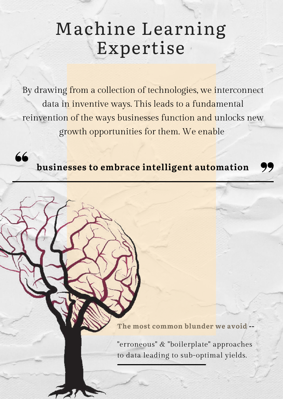# Machine Learning Expertise

By drawing from a collection of technologies, we interconnect data in inventive ways. This leads to a fundamental reinvention of the ways businesses function and unlocks new growth opportunities for them. We enable

**businesses to embrace intelligent automation**

66

**The most common blunder we avoid --**

"erroneous" & "boilerplate" approaches to data leading to sub-optimal yields.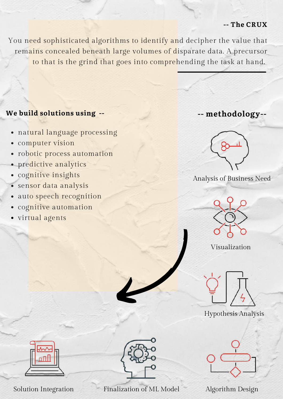#### **-- The CRUX**

You need sophisticated algorithms to identify and decipher the value that remains concealed beneath large volumes of disparate data. A precursor to that is the grind that goes into comprehending the task at hand.

### **We build solutions using --**

- natural language processing
- computer vision
- robotic process automation
- predictive analytics
- · cognitive insights
- sensor data analysis
- auto speech recognition
- cognitive automation
- · virtual agents



**-- methodology--**

Analysis of Business Need



Visualization



Hypothesis Analysis





Solution Integration Finalization of ML Model Algorithm Design